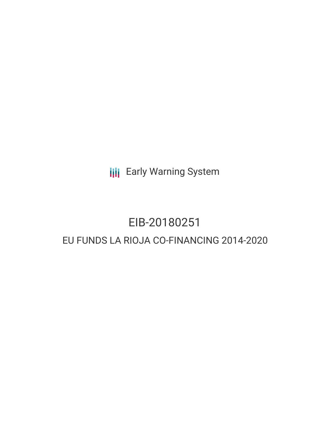**III** Early Warning System

# EIB-20180251 EU FUNDS LA RIOJA CO-FINANCING 2014-2020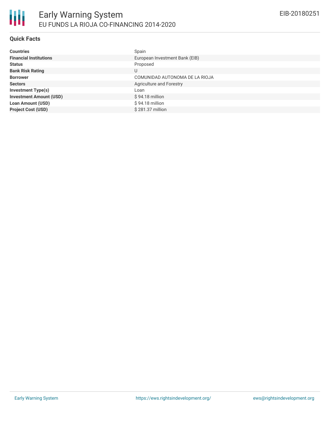## **Quick Facts**

| <b>Countries</b>               | Spain                          |
|--------------------------------|--------------------------------|
| <b>Financial Institutions</b>  | European Investment Bank (EIB) |
| <b>Status</b>                  | Proposed                       |
| <b>Bank Risk Rating</b>        | U                              |
| <b>Borrower</b>                | COMUNIDAD AUTONOMA DE LA RIOJA |
| <b>Sectors</b>                 | Agriculture and Forestry       |
| <b>Investment Type(s)</b>      | Loan                           |
| <b>Investment Amount (USD)</b> | $$94.18$ million               |
| <b>Loan Amount (USD)</b>       | $$94.18$ million               |
| <b>Project Cost (USD)</b>      | \$281.37 million               |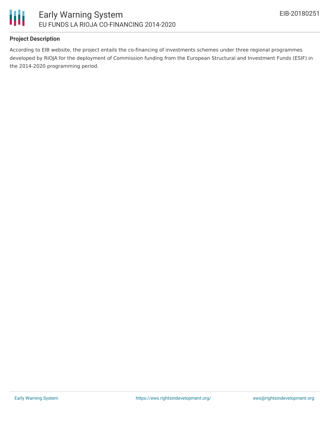

## **Project Description**

According to EIB website, the project entails the co-financing of investments schemes under three regional programmes developed by RIOJA for the deployment of Commission funding from the European Structural and Investment Funds (ESIF) in the 2014-2020 programming period.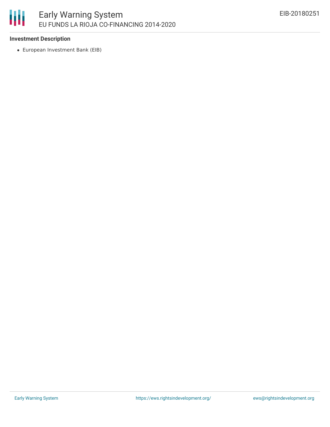## 冊 Early Warning System EU FUNDS LA RIOJA CO-FINANCING 2014-2020

#### **Investment Description**

European Investment Bank (EIB)